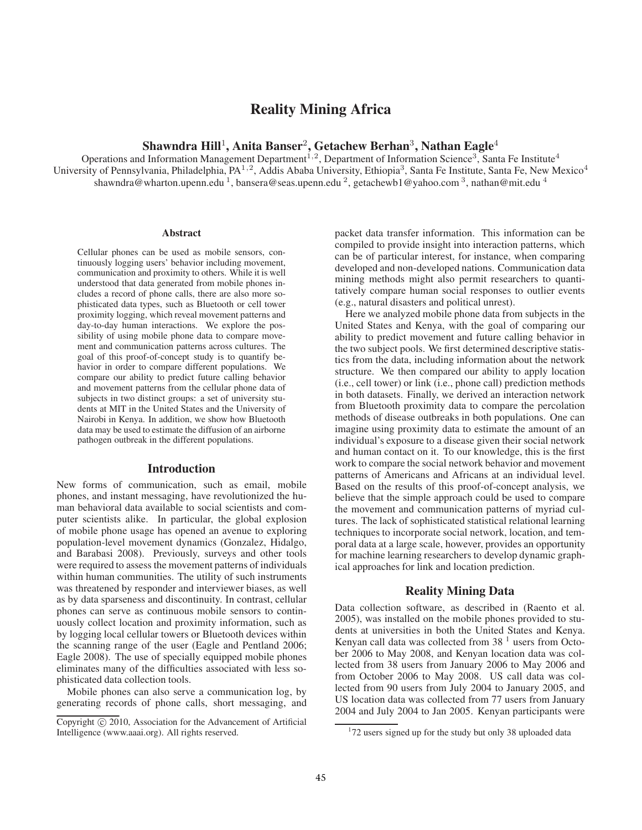# Reality Mining Africa

## Shawndra Hill<sup>1</sup>, Anita Banser<sup>2</sup>, Getachew Berhan<sup>3</sup>, Nathan Eagle<sup>4</sup>

Operations and Information Management Department<sup>1,2</sup>, Department of Information Science<sup>3</sup>, Santa Fe Institute<sup>4</sup> University of Pennsylvania, Philadelphia, PA<sup>1,2</sup>, Addis Ababa University, Ethiopia<sup>3</sup>, Santa Fe Institute, Santa Fe, New Mexico<sup>4</sup> shawndra@wharton.upenn.edu <sup>1</sup>, bansera@seas.upenn.edu <sup>2</sup>, getachewb1@yahoo.com <sup>3</sup>, nathan@mit.edu <sup>4</sup>

#### **Abstract**

Cellular phones can be used as mobile sensors, continuously logging users' behavior including movement, communication and proximity to others. While it is well understood that data generated from mobile phones includes a record of phone calls, there are also more sophisticated data types, such as Bluetooth or cell tower proximity logging, which reveal movement patterns and day-to-day human interactions. We explore the possibility of using mobile phone data to compare movement and communication patterns across cultures. The goal of this proof-of-concept study is to quantify behavior in order to compare different populations. We compare our ability to predict future calling behavior and movement patterns from the cellular phone data of subjects in two distinct groups: a set of university students at MIT in the United States and the University of Nairobi in Kenya. In addition, we show how Bluetooth data may be used to estimate the diffusion of an airborne pathogen outbreak in the different populations.

#### Introduction

New forms of communication, such as email, mobile phones, and instant messaging, have revolutionized the human behavioral data available to social scientists and computer scientists alike. In particular, the global explosion of mobile phone usage has opened an avenue to exploring population-level movement dynamics (Gonzalez, Hidalgo, and Barabasi 2008). Previously, surveys and other tools were required to assess the movement patterns of individuals within human communities. The utility of such instruments was threatened by responder and interviewer biases, as well as by data sparseness and discontinuity. In contrast, cellular phones can serve as continuous mobile sensors to continuously collect location and proximity information, such as by logging local cellular towers or Bluetooth devices within the scanning range of the user (Eagle and Pentland 2006; Eagle 2008). The use of specially equipped mobile phones eliminates many of the difficulties associated with less sophisticated data collection tools.

Mobile phones can also serve a communication log, by generating records of phone calls, short messaging, and

packet data transfer information. This information can be compiled to provide insight into interaction patterns, which can be of particular interest, for instance, when comparing developed and non-developed nations. Communication data mining methods might also permit researchers to quantitatively compare human social responses to outlier events (e.g., natural disasters and political unrest).

Here we analyzed mobile phone data from subjects in the United States and Kenya, with the goal of comparing our ability to predict movement and future calling behavior in the two subject pools. We first determined descriptive statistics from the data, including information about the network structure. We then compared our ability to apply location (i.e., cell tower) or link (i.e., phone call) prediction methods in both datasets. Finally, we derived an interaction network from Bluetooth proximity data to compare the percolation methods of disease outbreaks in both populations. One can imagine using proximity data to estimate the amount of an individual's exposure to a disease given their social network and human contact on it. To our knowledge, this is the first work to compare the social network behavior and movement patterns of Americans and Africans at an individual level. Based on the results of this proof-of-concept analysis, we believe that the simple approach could be used to compare the movement and communication patterns of myriad cultures. The lack of sophisticated statistical relational learning techniques to incorporate social network, location, and temporal data at a large scale, however, provides an opportunity for machine learning researchers to develop dynamic graphical approaches for link and location prediction.

## Reality Mining Data

Data collection software, as described in (Raento et al. 2005), was installed on the mobile phones provided to students at universities in both the United States and Kenya. Kenyan call data was collected from  $38<sup>1</sup>$  users from October 2006 to May 2008, and Kenyan location data was collected from 38 users from January 2006 to May 2006 and from October 2006 to May 2008. US call data was collected from 90 users from July 2004 to January 2005, and US location data was collected from 77 users from January 2004 and July 2004 to Jan 2005. Kenyan participants were

Copyright  $\odot$  2010, Association for the Advancement of Artificial Intelligence (www.aaai.org). All rights reserved.

<sup>&</sup>lt;sup>1</sup>72 users signed up for the study but only 38 uploaded data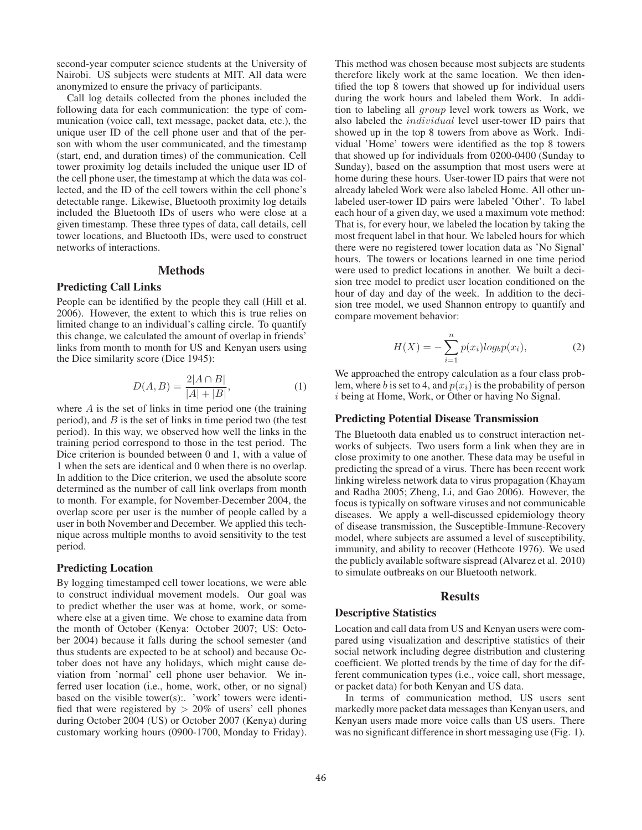second-year computer science students at the University of Nairobi. US subjects were students at MIT. All data were anonymized to ensure the privacy of participants.

Call log details collected from the phones included the following data for each communication: the type of communication (voice call, text message, packet data, etc.), the unique user ID of the cell phone user and that of the person with whom the user communicated, and the timestamp (start, end, and duration times) of the communication. Cell tower proximity log details included the unique user ID of the cell phone user, the timestamp at which the data was collected, and the ID of the cell towers within the cell phone's detectable range. Likewise, Bluetooth proximity log details included the Bluetooth IDs of users who were close at a given timestamp. These three types of data, call details, cell tower locations, and Bluetooth IDs, were used to construct networks of interactions.

## Methods

## Predicting Call Links

People can be identified by the people they call (Hill et al. 2006). However, the extent to which this is true relies on limited change to an individual's calling circle. To quantify this change, we calculated the amount of overlap in friends' links from month to month for US and Kenyan users using the Dice similarity score (Dice 1945):

$$
D(A, B) = \frac{2|A \cap B|}{|A| + |B|},
$$
\n(1)

where  $A$  is the set of links in time period one (the training period), and  $B$  is the set of links in time period two (the test period). In this way, we observed how well the links in the training period correspond to those in the test period. The Dice criterion is bounded between 0 and 1, with a value of 1 when the sets are identical and 0 when there is no overlap. In addition to the Dice criterion, we used the absolute score determined as the number of call link overlaps from month to month. For example, for November-December 2004, the overlap score per user is the number of people called by a user in both November and December. We applied this technique across multiple months to avoid sensitivity to the test period.

### Predicting Location

By logging timestamped cell tower locations, we were able to construct individual movement models. Our goal was to predict whether the user was at home, work, or somewhere else at a given time. We chose to examine data from the month of October (Kenya: October 2007; US: October 2004) because it falls during the school semester (and thus students are expected to be at school) and because October does not have any holidays, which might cause deviation from 'normal' cell phone user behavior. We inferred user location (i.e., home, work, other, or no signal) based on the visible tower(s):. 'work' towers were identified that were registered by  $> 20\%$  of users' cell phones during October 2004 (US) or October 2007 (Kenya) during customary working hours (0900-1700, Monday to Friday).

This method was chosen because most subjects are students therefore likely work at the same location. We then identified the top 8 towers that showed up for individual users during the work hours and labeled them Work. In addition to labeling all group level work towers as Work, we also labeled the individual level user-tower ID pairs that showed up in the top 8 towers from above as Work. Individual 'Home' towers were identified as the top 8 towers that showed up for individuals from 0200-0400 (Sunday to Sunday), based on the assumption that most users were at home during these hours. User-tower ID pairs that were not already labeled Work were also labeled Home. All other unlabeled user-tower ID pairs were labeled 'Other'. To label each hour of a given day, we used a maximum vote method: That is, for every hour, we labeled the location by taking the most frequent label in that hour. We labeled hours for which there were no registered tower location data as 'No Signal' hours. The towers or locations learned in one time period were used to predict locations in another. We built a decision tree model to predict user location conditioned on the hour of day and day of the week. In addition to the decision tree model, we used Shannon entropy to quantify and compare movement behavior:

$$
H(X) = -\sum_{i=1}^{n} p(x_i) log_b p(x_i), \qquad (2)
$$

We approached the entropy calculation as a four class problem, where b is set to 4, and  $p(x_i)$  is the probability of person i being at Home, Work, or Other or having No Signal.

#### Predicting Potential Disease Transmission

The Bluetooth data enabled us to construct interaction networks of subjects. Two users form a link when they are in close proximity to one another. These data may be useful in predicting the spread of a virus. There has been recent work linking wireless network data to virus propagation (Khayam and Radha 2005; Zheng, Li, and Gao 2006). However, the focus is typically on software viruses and not communicable diseases. We apply a well-discussed epidemiology theory of disease transmission, the Susceptible-Immune-Recovery model, where subjects are assumed a level of susceptibility, immunity, and ability to recover (Hethcote 1976). We used the publicly available software sispread (Alvarez et al. 2010) to simulate outbreaks on our Bluetooth network.

#### Results

#### Descriptive Statistics

Location and call data from US and Kenyan users were compared using visualization and descriptive statistics of their social network including degree distribution and clustering coefficient. We plotted trends by the time of day for the different communication types (i.e., voice call, short message, or packet data) for both Kenyan and US data.

In terms of communication method, US users sent markedly more packet data messages than Kenyan users, and Kenyan users made more voice calls than US users. There was no significant difference in short messaging use (Fig. 1).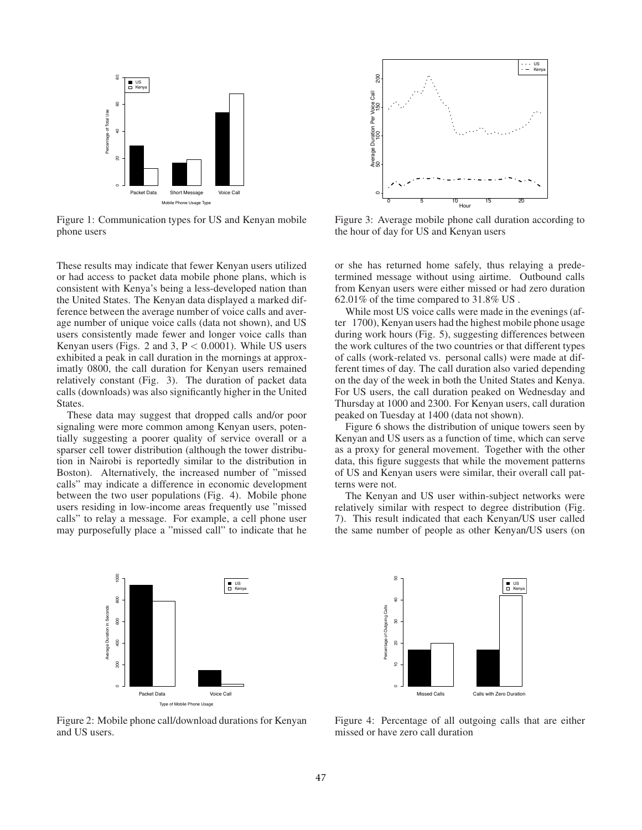

Figure 1: Communication types for US and Kenyan mobile phone users

These results may indicate that fewer Kenyan users utilized or had access to packet data mobile phone plans, which is consistent with Kenya's being a less-developed nation than the United States. The Kenyan data displayed a marked difference between the average number of voice calls and average number of unique voice calls (data not shown), and US users consistently made fewer and longer voice calls than Kenyan users (Figs. 2 and 3,  $P < 0.0001$ ). While US users exhibited a peak in call duration in the mornings at approximatly 0800, the call duration for Kenyan users remained relatively constant (Fig. 3). The duration of packet data calls (downloads) was also significantly higher in the United States.

These data may suggest that dropped calls and/or poor signaling were more common among Kenyan users, potentially suggesting a poorer quality of service overall or a sparser cell tower distribution (although the tower distribution in Nairobi is reportedly similar to the distribution in Boston). Alternatively, the increased number of "missed calls" may indicate a difference in economic development between the two user populations (Fig. 4). Mobile phone users residing in low-income areas frequently use "missed calls" to relay a message. For example, a cell phone user may purposefully place a "missed call" to indicate that he





Figure 3: Average mobile phone call duration according to the hour of day for US and Kenyan users

or she has returned home safely, thus relaying a predetermined message without using airtime. Outbound calls from Kenyan users were either missed or had zero duration 62.01% of the time compared to 31.8% US .

While most US voice calls were made in the evenings (after 1700), Kenyan users had the highest mobile phone usage during work hours (Fig. 5), suggesting differences between the work cultures of the two countries or that different types of calls (work-related vs. personal calls) were made at different times of day. The call duration also varied depending on the day of the week in both the United States and Kenya. For US users, the call duration peaked on Wednesday and Thursday at 1000 and 2300. For Kenyan users, call duration peaked on Tuesday at 1400 (data not shown).

Figure 6 shows the distribution of unique towers seen by Kenyan and US users as a function of time, which can serve as a proxy for general movement. Together with the other data, this figure suggests that while the movement patterns of US and Kenyan users were similar, their overall call patterns were not.

The Kenyan and US user within-subject networks were relatively similar with respect to degree distribution (Fig. 7). This result indicated that each Kenyan/US user called the same number of people as other Kenyan/US users (on



Figure 2: Mobile phone call/download durations for Kenyan and US users.

Figure 4: Percentage of all outgoing calls that are either missed or have zero call duration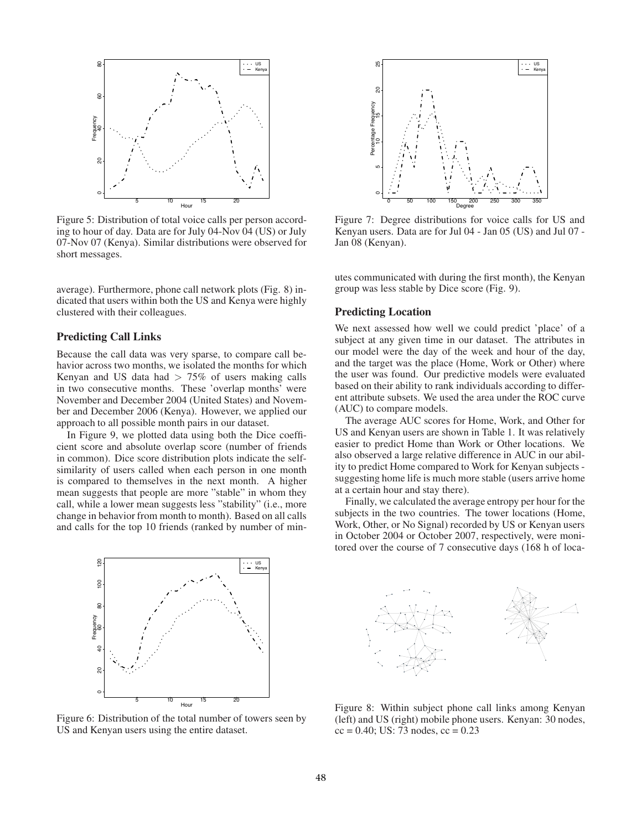

Figure 5: Distribution of total voice calls per person according to hour of day. Data are for July 04-Nov 04 (US) or July 07-Nov 07 (Kenya). Similar distributions were observed for short messages.

average). Furthermore, phone call network plots (Fig. 8) indicated that users within both the US and Kenya were highly clustered with their colleagues.

#### Predicting Call Links

Because the call data was very sparse, to compare call behavior across two months, we isolated the months for which Kenyan and US data had  $> 75\%$  of users making calls in two consecutive months. These 'overlap months' were November and December 2004 (United States) and November and December 2006 (Kenya). However, we applied our approach to all possible month pairs in our dataset.

In Figure 9, we plotted data using both the Dice coefficient score and absolute overlap score (number of friends in common). Dice score distribution plots indicate the selfsimilarity of users called when each person in one month is compared to themselves in the next month. A higher mean suggests that people are more "stable" in whom they call, while a lower mean suggests less "stability" (i.e., more change in behavior from month to month). Based on all calls and calls for the top 10 friends (ranked by number of min-



Figure 6: Distribution of the total number of towers seen by US and Kenyan users using the entire dataset.



Figure 7: Degree distributions for voice calls for US and Kenyan users. Data are for Jul 04 - Jan 05 (US) and Jul 07 - Jan 08 (Kenyan).

utes communicated with during the first month), the Kenyan group was less stable by Dice score (Fig. 9).

#### Predicting Location

We next assessed how well we could predict 'place' of a subject at any given time in our dataset. The attributes in our model were the day of the week and hour of the day, and the target was the place (Home, Work or Other) where the user was found. Our predictive models were evaluated based on their ability to rank individuals according to different attribute subsets. We used the area under the ROC curve (AUC) to compare models.

The average AUC scores for Home, Work, and Other for US and Kenyan users are shown in Table 1. It was relatively easier to predict Home than Work or Other locations. We also observed a large relative difference in AUC in our ability to predict Home compared to Work for Kenyan subjects suggesting home life is much more stable (users arrive home at a certain hour and stay there).

Finally, we calculated the average entropy per hour for the subjects in the two countries. The tower locations (Home, Work, Other, or No Signal) recorded by US or Kenyan users in October 2004 or October 2007, respectively, were monitored over the course of 7 consecutive days (168 h of loca-



Figure 8: Within subject phone call links among Kenyan (left) and US (right) mobile phone users. Kenyan: 30 nodes,  $cc = 0.40$ ; US: 73 nodes,  $cc = 0.23$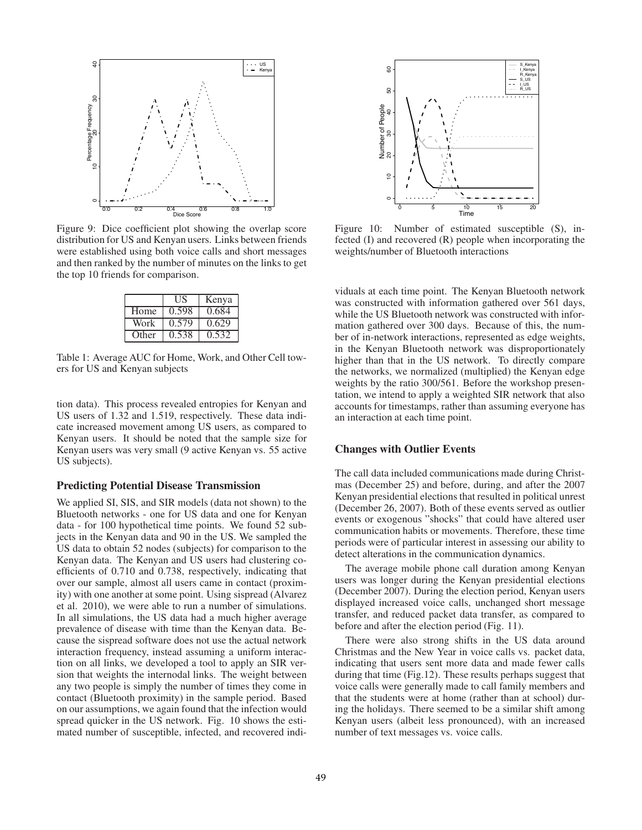

Figure 9: Dice coefficient plot showing the overlap score distribution for US and Kenyan users. Links between friends were established using both voice calls and short messages and then ranked by the number of minutes on the links to get the top 10 friends for comparison.

|       | НS    | Kenya |
|-------|-------|-------|
| Home  | 0.598 | 0.684 |
| Work  | 0.579 | 0.629 |
| Other | 0.538 | 0.532 |

Table 1: Average AUC for Home, Work, and Other Cell towers for US and Kenyan subjects

tion data). This process revealed entropies for Kenyan and US users of 1.32 and 1.519, respectively. These data indicate increased movement among US users, as compared to Kenyan users. It should be noted that the sample size for Kenyan users was very small (9 active Kenyan vs. 55 active US subjects).

## Predicting Potential Disease Transmission

We applied SI, SIS, and SIR models (data not shown) to the Bluetooth networks - one for US data and one for Kenyan data - for 100 hypothetical time points. We found 52 subjects in the Kenyan data and 90 in the US. We sampled the US data to obtain 52 nodes (subjects) for comparison to the Kenyan data. The Kenyan and US users had clustering coefficients of 0.710 and 0.738, respectively, indicating that over our sample, almost all users came in contact (proximity) with one another at some point. Using sispread (Alvarez et al. 2010), we were able to run a number of simulations. In all simulations, the US data had a much higher average prevalence of disease with time than the Kenyan data. Because the sispread software does not use the actual network interaction frequency, instead assuming a uniform interaction on all links, we developed a tool to apply an SIR version that weights the internodal links. The weight between any two people is simply the number of times they come in contact (Bluetooth proximity) in the sample period. Based on our assumptions, we again found that the infection would spread quicker in the US network. Fig. 10 shows the estimated number of susceptible, infected, and recovered indi-



Figure 10: Number of estimated susceptible (S), infected (I) and recovered (R) people when incorporating the weights/number of Bluetooth interactions

viduals at each time point. The Kenyan Bluetooth network was constructed with information gathered over 561 days, while the US Bluetooth network was constructed with information gathered over 300 days. Because of this, the number of in-network interactions, represented as edge weights, in the Kenyan Bluetooth network was disproportionately higher than that in the US network. To directly compare the networks, we normalized (multiplied) the Kenyan edge weights by the ratio 300/561. Before the workshop presentation, we intend to apply a weighted SIR network that also accounts for timestamps, rather than assuming everyone has an interaction at each time point.

## Changes with Outlier Events

The call data included communications made during Christmas (December 25) and before, during, and after the 2007 Kenyan presidential elections that resulted in political unrest (December 26, 2007). Both of these events served as outlier events or exogenous "shocks" that could have altered user communication habits or movements. Therefore, these time periods were of particular interest in assessing our ability to detect alterations in the communication dynamics.

The average mobile phone call duration among Kenyan users was longer during the Kenyan presidential elections (December 2007). During the election period, Kenyan users displayed increased voice calls, unchanged short message transfer, and reduced packet data transfer, as compared to before and after the election period (Fig. 11).

There were also strong shifts in the US data around Christmas and the New Year in voice calls vs. packet data, indicating that users sent more data and made fewer calls during that time (Fig.12). These results perhaps suggest that voice calls were generally made to call family members and that the students were at home (rather than at school) during the holidays. There seemed to be a similar shift among Kenyan users (albeit less pronounced), with an increased number of text messages vs. voice calls.